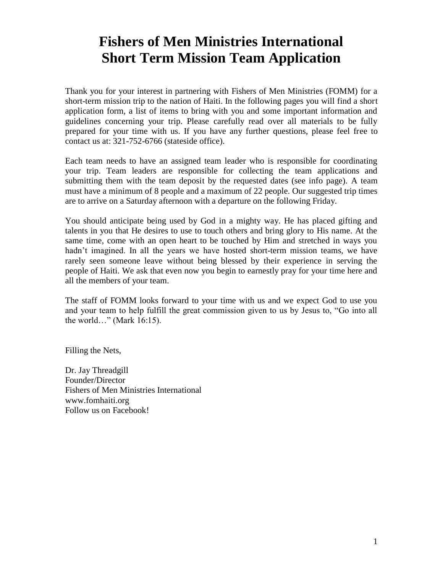# **Fishers of Men Ministries International Short Term Mission Team Application**

Thank you for your interest in partnering with Fishers of Men Ministries (FOMM) for a short-term mission trip to the nation of Haiti. In the following pages you will find a short application form, a list of items to bring with you and some important information and guidelines concerning your trip. Please carefully read over all materials to be fully prepared for your time with us. If you have any further questions, please feel free to contact us at: 321-752-6766 (stateside office).

Each team needs to have an assigned team leader who is responsible for coordinating your trip. Team leaders are responsible for collecting the team applications and submitting them with the team deposit by the requested dates (see info page). A team must have a minimum of 8 people and a maximum of 22 people. Our suggested trip times are to arrive on a Saturday afternoon with a departure on the following Friday.

You should anticipate being used by God in a mighty way. He has placed gifting and talents in you that He desires to use to touch others and bring glory to His name. At the same time, come with an open heart to be touched by Him and stretched in ways you hadn't imagined. In all the years we have hosted short-term mission teams, we have rarely seen someone leave without being blessed by their experience in serving the people of Haiti. We ask that even now you begin to earnestly pray for your time here and all the members of your team.

The staff of FOMM looks forward to your time with us and we expect God to use you and your team to help fulfill the great commission given to us by Jesus to, "Go into all the world…" (Mark 16:15).

Filling the Nets,

Dr. Jay Threadgill Founder/Director Fishers of Men Ministries International www.fomhaiti.org Follow us on Facebook!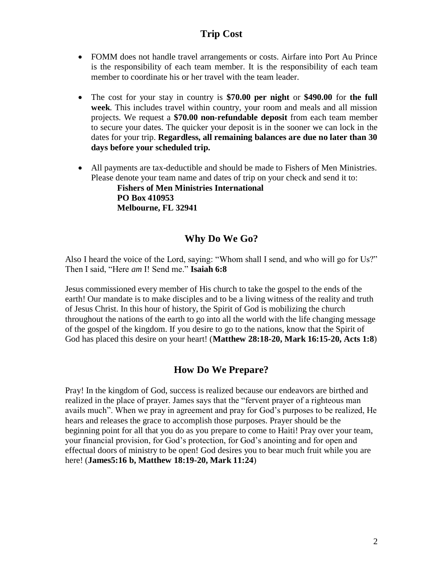#### **Trip Cost**

- FOMM does not handle travel arrangements or costs. Airfare into Port Au Prince is the responsibility of each team member. It is the responsibility of each team member to coordinate his or her travel with the team leader.
- The cost for your stay in country is **\$70.00 per night** or **\$490.00** for **the full week**. This includes travel within country, your room and meals and all mission projects. We request a **\$70.00 non-refundable deposit** from each team member to secure your dates. The quicker your deposit is in the sooner we can lock in the dates for your trip. **Regardless, all remaining balances are due no later than 30 days before your scheduled trip.**
- All payments are tax-deductible and should be made to Fishers of Men Ministries. Please denote your team name and dates of trip on your check and send it to: **Fishers of Men Ministries International**

**PO Box 410953 Melbourne, FL 32941**

### **Why Do We Go?**

Also I heard the voice of the Lord, saying: "Whom shall I send, and who will go for Us?" Then I said, "Here *am* I! Send me." **Isaiah 6:8**

Jesus commissioned every member of His church to take the gospel to the ends of the earth! Our mandate is to make disciples and to be a living witness of the reality and truth of Jesus Christ. In this hour of history, the Spirit of God is mobilizing the church throughout the nations of the earth to go into all the world with the life changing message of the gospel of the kingdom. If you desire to go to the nations, know that the Spirit of God has placed this desire on your heart! (**Matthew 28:18-20, Mark 16:15-20, Acts 1:8**)

### **How Do We Prepare?**

Pray! In the kingdom of God, success is realized because our endeavors are birthed and realized in the place of prayer. James says that the "fervent prayer of a righteous man avails much". When we pray in agreement and pray for God's purposes to be realized, He hears and releases the grace to accomplish those purposes. Prayer should be the beginning point for all that you do as you prepare to come to Haiti! Pray over your team, your financial provision, for God's protection, for God's anointing and for open and effectual doors of ministry to be open! God desires you to bear much fruit while you are here! (**James5:16 b, Matthew 18:19-20, Mark 11:24**)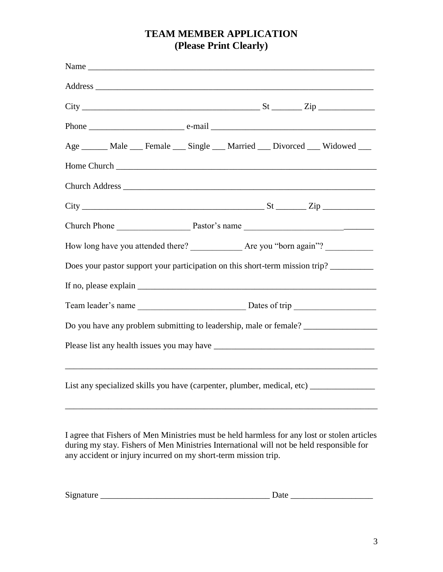# **TEAM MEMBER APPLICATION (Please Print Clearly)**

| Age ______ Male ___ Female ___ Single ___ Married ___ Divorced ___ Widowed ___         |  |  |
|----------------------------------------------------------------------------------------|--|--|
|                                                                                        |  |  |
|                                                                                        |  |  |
|                                                                                        |  |  |
|                                                                                        |  |  |
|                                                                                        |  |  |
| Does your pastor support your participation on this short-term mission trip?           |  |  |
|                                                                                        |  |  |
|                                                                                        |  |  |
| Do you have any problem submitting to leadership, male or female? ______________       |  |  |
|                                                                                        |  |  |
| List any specialized skills you have (carpenter, plumber, medical, etc) ______________ |  |  |

I agree that Fishers of Men Ministries must be held harmless for any lost or stolen articles during my stay. Fishers of Men Ministries International will not be held responsible for any accident or injury incurred on my short-term mission trip.

| n.<br>iature<br>519 | 'alt<br>-- |
|---------------------|------------|
|---------------------|------------|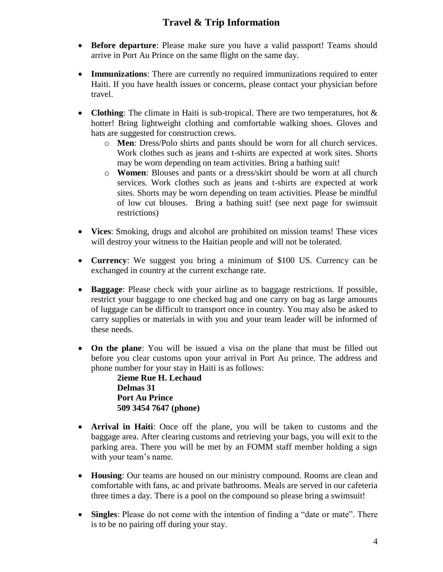# **Travel & Trip Information**

- **Before departure**: Please make sure you have a valid passport! Teams should arrive in Port Au Prince on the same flight on the same day.
- **Immunizations**: There are currently no required immunizations required to enter Haiti. If you have health issues or concerns, please contact your physician before travel.
- **Clothing**: The climate in Haiti is sub-tropical. There are two temperatures, hot & hotter! Bring lightweight clothing and comfortable walking shoes. Gloves and hats are suggested for construction crews.
	- o **Men**: Dress/Polo shirts and pants should be worn for all church services. Work clothes such as jeans and t-shirts are expected at work sites. Shorts may be worn depending on team activities. Bring a bathing suit!
	- o **Women**: Blouses and pants or a dress/skirt should be worn at all church services. Work clothes such as jeans and t-shirts are expected at work sites. Shorts may be worn depending on team activities. Please be mindful of low cut blouses. Bring a bathing suit! (see next page for swimsuit restrictions)
- **Vices**: Smoking, drugs and alcohol are prohibited on mission teams! These vices will destroy your witness to the Haitian people and will not be tolerated.
- **Currency**: We suggest you bring a minimum of \$100 US. Currency can be exchanged in country at the current exchange rate.
- **Baggage**: Please check with your airline as to baggage restrictions. If possible, restrict your baggage to one checked bag and one carry on bag as large amounts of luggage can be difficult to transport once in country. You may also be asked to carry supplies or materials in with you and your team leader will be informed of these needs.
- **On the plane**: You will be issued a visa on the plane that must be filled out before you clear customs upon your arrival in Port Au prince. The address and phone number for your stay in Haiti is as follows:

**2ieme Rue H. Lechaud Delmas 31 Port Au Prince 509 3454 7647 (phone)**

- **Arrival in Haiti**: Once off the plane, you will be taken to customs and the baggage area. After clearing customs and retrieving your bags, you will exit to the parking area. There you will be met by an FOMM staff member holding a sign with your team's name.
- **Housing**: Our teams are housed on our ministry compound. Rooms are clean and comfortable with fans, ac and private bathrooms. Meals are served in our cafeteria three times a day. There is a pool on the compound so please bring a swimsuit!
- **Singles**: Please do not come with the intention of finding a "date or mate". There is to be no pairing off during your stay.